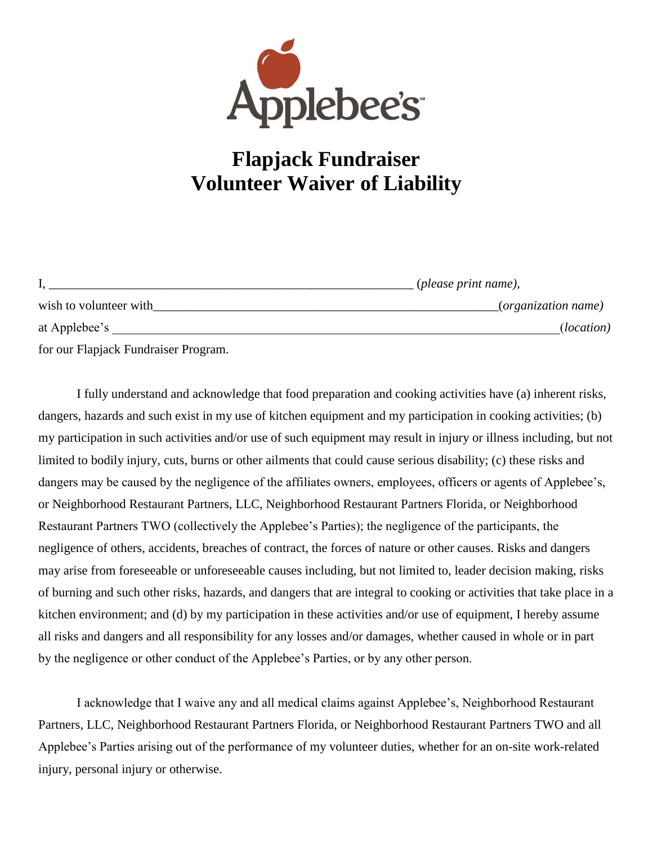

## **Flapjack Fundraiser Volunteer Waiver of Liability**

|                        | ( <i>please print name</i> ), |
|------------------------|-------------------------------|
| wish to volunteer with | (organization name)           |
| at Applebee's          | ( <i>location</i> )           |
| $\sim$                 |                               |

for our Flapjack Fundraiser Program.

I fully understand and acknowledge that food preparation and cooking activities have (a) inherent risks, dangers, hazards and such exist in my use of kitchen equipment and my participation in cooking activities; (b) my participation in such activities and/or use of such equipment may result in injury or illness including, but not limited to bodily injury, cuts, burns or other ailments that could cause serious disability; (c) these risks and dangers may be caused by the negligence of the affiliates owners, employees, officers or agents of Applebee's, or Neighborhood Restaurant Partners, LLC, Neighborhood Restaurant Partners Florida, or Neighborhood Restaurant Partners TWO (collectively the Applebee's Parties); the negligence of the participants, the negligence of others, accidents, breaches of contract, the forces of nature or other causes. Risks and dangers may arise from foreseeable or unforeseeable causes including, but not limited to, leader decision making, risks of burning and such other risks, hazards, and dangers that are integral to cooking or activities that take place in a kitchen environment; and (d) by my participation in these activities and/or use of equipment, I hereby assume all risks and dangers and all responsibility for any losses and/or damages, whether caused in whole or in part by the negligence or other conduct of the Applebee's Parties, or by any other person.

I acknowledge that I waive any and all medical claims against Applebee's, Neighborhood Restaurant Partners, LLC, Neighborhood Restaurant Partners Florida, or Neighborhood Restaurant Partners TWO and all Applebee's Parties arising out of the performance of my volunteer duties, whether for an on-site work-related injury, personal injury or otherwise.